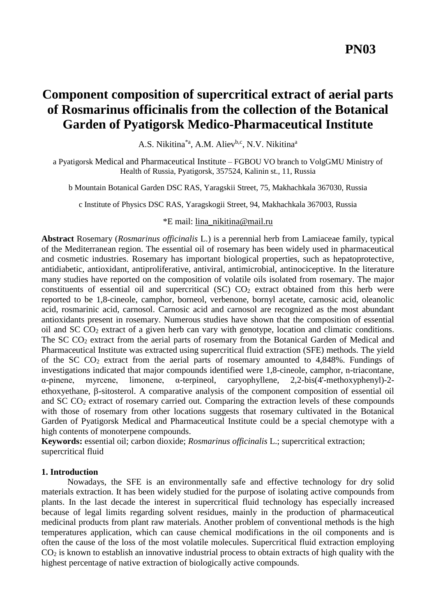# **Component composition of supercritical extract of aerial parts of Rosmarinus officinalis from the collection of the Botanical Garden of Pyatigorsk Medico-Pharmaceutical Institute**

A.S. Nikitina<sup>\*a</sup>, A.M. Aliev<sup>b,c</sup>, N.V. Nikitina<sup>a</sup>

a Pyatigorsk Medical and Pharmaceutical Institute – FGBOU VO branch to VolgGMU Ministry of Health of Russia, Pyatigorsk, 357524, Kalinin st., 11, Russia

b Mountain Botanical Garden DSC RAS, Yaragskii Street, 75, Makhachkala 367030, Russia

c Institute of Physics DSC RAS, Yaragskogii Street, 94, Makhachkala 367003, Russia

# \*E mail: [lina\\_nikitina@mail.ru](mailto:lina_nikitina@mail.ru)

**Abstract** Rosemary (*Rosmarinus officinalis* L.) is a perennial herb from Lamiaceae family, typical of the Mediterranean region. The essential oil of rosemary has been widely used in pharmaceutical and cosmetic industries. Rosemary has important biological properties, such as hepatoprotective, antidiabetic, antioxidant, antiproliferative, antiviral, antimicrobial, antinociceptive. In the literature many studies have reported on the composition of volatile oils isolated from rosemary. The major constituents of essential oil and supercritical  $(SC)$   $CO<sub>2</sub>$  extract obtained from this herb were reported to be 1,8-cineole, camphor, borneol, verbenone, bornyl acetate, carnosic acid, oleanolic acid, rosmarinic acid, carnosol. Carnosic acid and carnosol are recognized as the most abundant antioxidants present in rosemary. Numerous studies have shown that the composition of essential oil and SC CO<sup>2</sup> extract of a given herb can vary with genotype, location and climatic conditions. The SC CO<sub>2</sub> extract from the aerial parts of rosemary from the Botanical Garden of Medical and Pharmaceutical Institute was extracted using supercritical fluid extraction (SFE) methods. The yield of the SC  $CO<sub>2</sub>$  extract from the aerial parts of rosemary amounted to 4,848%. Fundings of investigations indicated that major compounds identified were 1,8-cineole, сamphor, n-triacontane, α-pinene, myrcene, limonene, α-terpineol, caryophyllene, 2,2-bis(4'-methoxyphenyl)-2 ethoxyethane,  $\beta$ -sitosterol. A comparative analysis of the component composition of essential oil and SC CO<sup>2</sup> extract of rosemary carried out. Comparing the extraction levels of these compounds with those of rosemary from other locations suggests that rosemary cultivated in the Botanical Garden of Pyatigorsk Medical and Pharmaceutical Institute could be a special chemotype with a high contents of monoterpene compounds.

**Keywords:** essential oil; carbon dioxide; *Rosmarinus officinalis* L.; supercritical extraction; supercritical fluid

## **1. Introduction**

Nowadays, the SFE is an environmentally safe and effective technology for dry solid materials extraction. It has been widely studied for the purpose of isolating active compounds from plants. In the last decade the interest in supercritical fluid technology has especially increased because of legal limits regarding solvent residues, mainly in the production of pharmaceutical medicinal products from plant raw materials. Another problem of conventional methods is the high temperatures application, which can cause chemical modifications in the oil components and is often the cause of the loss of the most volatile molecules. Supercritical fluid extraction employing CO<sup>2</sup> is known to establish an innovative industrial process to obtain extracts of high quality with the highest percentage of native extraction of biologically active compounds.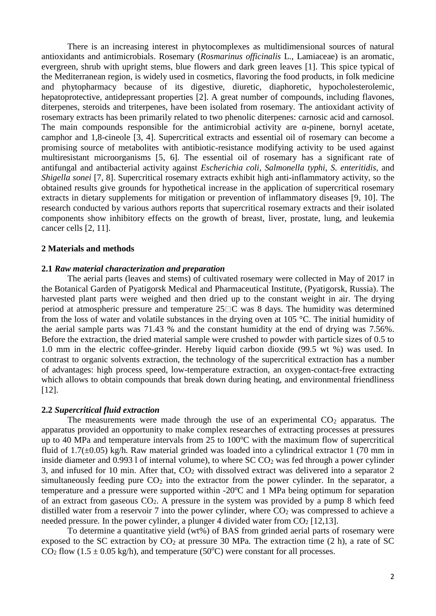There is an increasing interest in phytocomplexes as multidimensional sources of natural antioxidants and antimicrobials. Rosemary (*Rosmarinus officinalis* L., Lamiaceae) is an aromatic, evergreen, shrub with upright stems, blue flowers and dark green leaves [1]. This spice typical of the Mediterranean region, is widely used in cosmetics, flavoring the food products, in folk medicine and phytopharmacy because of its digestive, diuretic, diaphoretic, hypocholesterolemic, hepatoprotective, antidepressant properties [2]. A great number of compounds, including flavones, diterpenes, steroids and triterpenes, have been isolated from rosemary. The antioxidant activity of rosemary extracts has been primarily related to two phenolic diterpenes: carnosic acid and carnosol. The main compounds responsible for the antimicrobial activity are  $\alpha$ -pinene, bornyl acetate, camphor and 1,8-cineole [3, 4]. Supercritical extracts and essential oil of rosemary can become a promising source of metabolites with antibiotic-resistance modifying activity to be used against multiresistant microorganisms [5, 6]. The essential oil of rosemary has a significant rate of antifungal and antibacterial activity against *Escherichia coli*, *Salmonella typhi*, *S. enteritidis*, and *Shigella sonei* [7, 8]. Supercritical rosemary extracts exhibit high anti-inflammatory activity, so the obtained results give grounds for hypothetical increase in the application of supercritical rosemary extracts in dietary supplements for mitigation or prevention of inflammatory diseases [9, 10]. The research conducted by various authors reports that supercritical rosemary extracts and their isolated components show inhibitory effects on the growth of breast, liver, prostate, lung, and leukemia cancer cells [2, 11].

### **2 Materials and methods**

#### **2.1** *Raw material characterization and preparation*

The aerial parts (leaves and stems) of cultivated rosemary were collected in May of 2017 in the Botanical Garden of Pyatigorsk Medical and Pharmaceutical Institute, (Pyatigorsk, Russia). The harvested plant parts were weighed and then dried up to the constant weight in air. The drying period at atmospheric pressure and temperature  $25\Box C$  was 8 days. The humidity was determined from the loss of water and volatile substances in the drying oven at 105 °C. The initial humidity of the aerial sample parts was 71.43 % and the constant humidity at the end of drying was 7.56%. Before the extraction, the dried material sample were crushed to powder with particle sizes of 0.5 to 1.0 mm in the electric coffee-grinder. Hereby liquid carbon dioxide (99.5 wt %) was used. In contrast to organic solvents extraction, the technology of the supercritical extraction has a number of advantages: high process speed, low-temperature extraction, an oxygen-contact-free extracting which allows to obtain compounds that break down during heating, and environmental friendliness [12].

#### **2.2** *Supercritical fluid extraction*

The measurements were made through the use of an experimental  $CO<sub>2</sub>$  apparatus. The apparatus provided an opportunity to make complex researches of extracting processes at pressures up to 40 MPa and temperature intervals from 25 to  $100^{\circ}$ C with the maximum flow of supercritical fluid of  $1.7(\pm 0.05)$  kg/h. Raw material grinded was loaded into a cylindrical extractor 1 (70 mm in inside diameter and  $0.9931$  of internal volume), to where  $SCCO<sub>2</sub>$  was fed through a power cylinder 3, and infused for 10 min. After that,  $CO<sub>2</sub>$  with dissolved extract was delivered into a separator 2 simultaneously feeding pure  $CO<sub>2</sub>$  into the extractor from the power cylinder. In the separator, a temperature and a pressure were supported within  $-20^{\circ}\text{C}$  and 1 MPa being optimum for separation of an extract from gaseous CO2. A pressure in the system was provided by a pump 8 which feed distilled water from a reservoir 7 into the power cylinder, where  $CO<sub>2</sub>$  was compressed to achieve a needed pressure. In the power cylinder, a plunger 4 divided water from  $CO<sub>2</sub>$  [12,13].

To determine a quantitative yield (wt%) of BAS from grinded aerial parts of rosemary were exposed to the SC extraction by  $CO_2$  at pressure 30 MPa. The extraction time (2 h), a rate of SC  $CO<sub>2</sub>$  flow (1.5  $\pm$  0.05 kg/h), and temperature (50<sup>o</sup>C) were constant for all processes.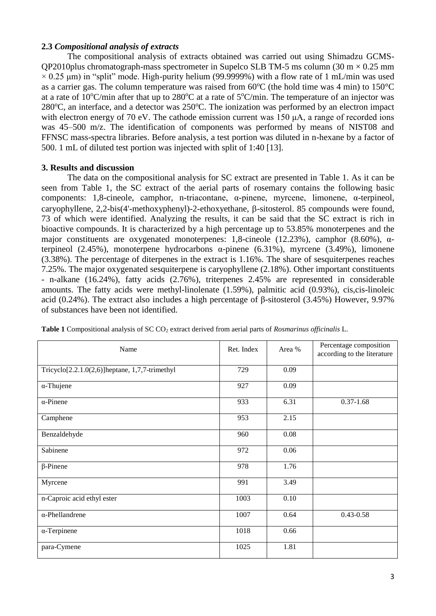# **2.3** *Compositional analysis of extracts*

The compositional analysis of extracts obtained was carried out using Shimadzu GCMS-QP2010plus chromatograph-mass spectrometer in Supelco SLB TM-5 ms column (30 m  $\times$  0.25 mm  $\times$  0.25 μm) in "split" mode. High-purity helium (99.9999%) with a flow rate of 1 mL/min was used as a carrier gas. The column temperature was raised from  $60^{\circ}$ C (the hold time was 4 min) to  $150^{\circ}$ C at a rate of  $10^{\circ}$ C/min after that up to  $280^{\circ}$ C at a rate of  $5^{\circ}$ C/min. The temperature of an injector was  $280^{\circ}$ C, an interface, and a detector was  $250^{\circ}$ C. The ionization was performed by an electron impact with electron energy of 70 eV. The cathode emission current was 150 μA, a range of recorded ions was 45–500 m/z. The identification of components was performed by means of NIST08 and FFNSC mass-spectra libraries. Before analysis, a test portion was diluted in n-hexane by a factor of 500. 1 mL of diluted test portion was injected with split of 1:40 [13].

# **3. Results and discussion**

The data on the compositional analysis for SC extract are presented in Table 1. As it can be seen from Table 1, the SC extract of the aerial parts of rosemary contains the following basic components: 1,8-cineole, сamphor, n-triacontane, α-pinene, myrcene, limonene, α-terpineol, caryophyllene,  $2.2$ -bis(4'-methoxyphenyl)-2-ethoxyethane,  $\beta$ -sitosterol. 85 compounds were found, 73 of which were identified. Analyzing the results, it can be said that the SC extract is rich in bioactive compounds. It is characterized by a high percentage up to 53.85% monoterpenes and the major constituents are oxygenated monoterpenes: 1,8-cineole (12.23%), сamphor (8.60%), αterpineol (2.45%), monoterpene hydrocarbons α-pinene (6.31%), myrcene (3.49%), limonene (3.38%). The percentage of diterpenes in the extract is 1.16%. The share of sesquiterpenes reaches 7.25%. The major oxygenated sesquiterpene is caryophyllene (2.18%). Other important constituents - n-alkane (16.24%), fatty acids (2.76%), triterpenes 2.45% are represented in considerable amounts. The fatty acids were methyl-linolenate (1.59%), palmitic acid (0.93%), cis,cis-linoleic acid (0.24%). The extract also includes a high percentage of β-sitosterol (3.45%) However, 9.97% of substances have been not identified.

| Name                                               | Ret. Index | Area %   | Percentage composition<br>according to the literature |
|----------------------------------------------------|------------|----------|-------------------------------------------------------|
| Tricyclo $[2.2.1.0(2,6)]$ heptane, 1,7,7-trimethyl | 729        | 0.09     |                                                       |
| $\alpha$ -Thujene                                  | 927        | 0.09     |                                                       |
| $\alpha$ -Pinene                                   | 933        | 6.31     | $0.37 - 1.68$                                         |
| Camphene                                           | 953        | 2.15     |                                                       |
| Benzaldehyde                                       | 960        | $0.08\,$ |                                                       |
| Sabinene                                           | 972        | 0.06     |                                                       |
| $\beta$ -Pinene                                    | 978        | 1.76     |                                                       |
| Myrcene                                            | 991        | 3.49     |                                                       |
| n-Caproic acid ethyl ester                         | 1003       | 0.10     |                                                       |
| $\alpha$ -Phellandrene                             | 1007       | 0.64     | $0.43 - 0.58$                                         |
| $\alpha$ -Terpinene                                | 1018       | 0.66     |                                                       |
| para-Cymene                                        | 1025       | 1.81     |                                                       |

**Table 1** Compositional analysis of SC CO<sup>2</sup> extract derived from aerial parts of *Rosmarinus officinalis* L.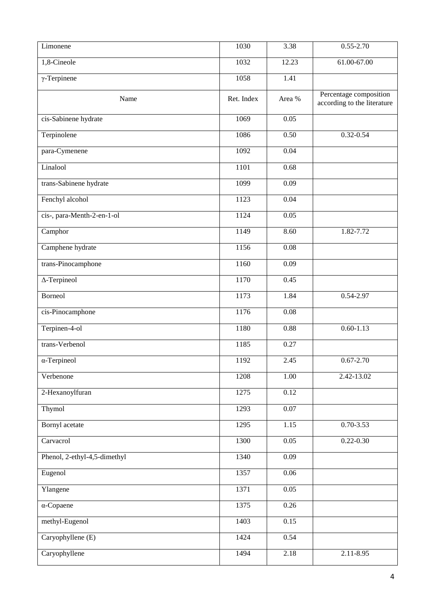| Limonene                     | 1030       | 3.38              | $0.55 - 2.70$                                         |
|------------------------------|------------|-------------------|-------------------------------------------------------|
| 1,8-Cineole                  | 1032       | 12.23             | 61.00-67.00                                           |
| $\gamma$ -Terpinene          | 1058       | 1.41              |                                                       |
| Name                         | Ret. Index | Area %            | Percentage composition<br>according to the literature |
| cis-Sabinene hydrate         | 1069       | $\overline{0.05}$ |                                                       |
| Terpinolene                  | 1086       | 0.50              | $0.32 - 0.54$                                         |
| para-Cymenene                | 1092       | 0.04              |                                                       |
| Linalool                     | 1101       | 0.68              |                                                       |
| trans-Sabinene hydrate       | 1099       | 0.09              |                                                       |
| Fenchyl alcohol              | 1123       | 0.04              |                                                       |
| cis-, para-Menth-2-en-1-ol   | 1124       | 0.05              |                                                       |
| Camphor                      | 1149       | 8.60              | 1.82-7.72                                             |
| Camphene hydrate             | 1156       | 0.08              |                                                       |
| trans-Pinocamphone           | 1160       | 0.09              |                                                       |
| $\Delta$ -Terpineol          | 1170       | 0.45              |                                                       |
| Borneol                      | 1173       | 1.84              | 0.54-2.97                                             |
| cis-Pinocamphone             | 1176       | $\overline{0.08}$ |                                                       |
| Terpinen-4-ol                | 1180       | 0.88              | $0.60 - 1.13$                                         |
| trans-Verbenol               | 1185       | 0.27              |                                                       |
| $\alpha$ -Terpineol          | 1192       | 2.45              | $0.67 - 2.70$                                         |
| Verbenone                    | 1208       | 1.00              | 2.42-13.02                                            |
| 2-Hexanoylfuran              | 1275       | 0.12              |                                                       |
| Thymol                       | 1293       | 0.07              |                                                       |
| <b>Bornyl</b> acetate        | 1295       | 1.15              | $0.70 - 3.53$                                         |
| Carvacrol                    | 1300       | $\overline{0.05}$ | $0.22 - 0.30$                                         |
| Phenol, 2-ethyl-4,5-dimethyl | 1340       | 0.09              |                                                       |
| Eugenol                      | 1357       | 0.06              |                                                       |
| Ylangene                     | 1371       | 0.05              |                                                       |
| $\alpha$ -Copaene            | 1375       | 0.26              |                                                       |
| methyl-Eugenol               | 1403       | 0.15              |                                                       |
| Caryophyllene (E)            | 1424       | 0.54              |                                                       |
| Caryophyllene                | 1494       | 2.18              | $2.11 - 8.95$                                         |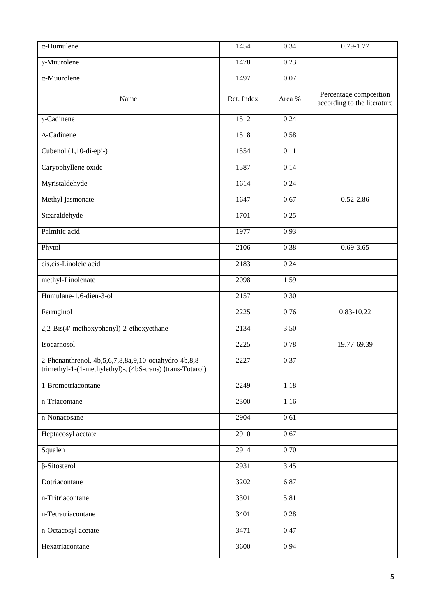| α-Humulene                                                                                                                  | 1454       | 0.34     | $0.79 - 1.77$                                         |
|-----------------------------------------------------------------------------------------------------------------------------|------------|----------|-------------------------------------------------------|
| $\gamma$ -Muurolene                                                                                                         | 1478       | 0.23     |                                                       |
| $\alpha$ -Muurolene                                                                                                         | 1497       | 0.07     |                                                       |
| Name                                                                                                                        | Ret. Index | Area %   | Percentage composition<br>according to the literature |
| $\gamma$ -Cadinene                                                                                                          | 1512       | 0.24     |                                                       |
| $\Delta$ -Cadinene                                                                                                          | 1518       | 0.58     |                                                       |
| Cubenol (1,10-di-epi-)                                                                                                      | 1554       | 0.11     |                                                       |
| Caryophyllene oxide                                                                                                         | 1587       | 0.14     |                                                       |
| Myristaldehyde                                                                                                              | 1614       | 0.24     |                                                       |
| Methyl jasmonate                                                                                                            | 1647       | 0.67     | $0.52 - 2.86$                                         |
| Stearaldehyde                                                                                                               | 1701       | 0.25     |                                                       |
| Palmitic acid                                                                                                               | 1977       | 0.93     |                                                       |
| Phytol                                                                                                                      | 2106       | 0.38     | $0.69 - 3.65$                                         |
| cis, cis-Linoleic acid                                                                                                      | 2183       | 0.24     |                                                       |
| methyl-Linolenate                                                                                                           | 2098       | 1.59     |                                                       |
| Humulane-1,6-dien-3-ol                                                                                                      | 2157       | 0.30     |                                                       |
| Ferruginol                                                                                                                  | 2225       | 0.76     | 0.83-10.22                                            |
| 2,2-Bis(4'-methoxyphenyl)-2-ethoxyethane                                                                                    | 2134       | 3.50     |                                                       |
| Isocarnosol                                                                                                                 | 2225       | 0.78     | 19.77-69.39                                           |
| 2-Phenanthrenol, 4b, 5, 6, 7, 8, 8a, 9, 10-octahydro-4b, 8, 8-<br>trimethyl-1-(1-methylethyl)-, (4bS-trans) (trans-Totarol) | 2227       | 0.37     |                                                       |
| 1-Bromotriacontane                                                                                                          | 2249       | $1.18\,$ |                                                       |
| n-Triacontane                                                                                                               | 2300       | 1.16     |                                                       |
| n-Nonacosane                                                                                                                | 2904       | 0.61     |                                                       |
| Heptacosyl acetate                                                                                                          | 2910       | 0.67     |                                                       |
| Squalen                                                                                                                     | 2914       | 0.70     |                                                       |
| $\beta$ -Sitosterol                                                                                                         | 2931       | 3.45     |                                                       |
| Dotriacontane                                                                                                               | 3202       | 6.87     |                                                       |
| n-Tritriacontane                                                                                                            | 3301       | 5.81     |                                                       |
| n-Tetratriacontane                                                                                                          | 3401       | 0.28     |                                                       |
| n-Octacosyl acetate                                                                                                         | 3471       | 0.47     |                                                       |
| Hexatriacontane                                                                                                             | 3600       | 0.94     |                                                       |
|                                                                                                                             |            |          |                                                       |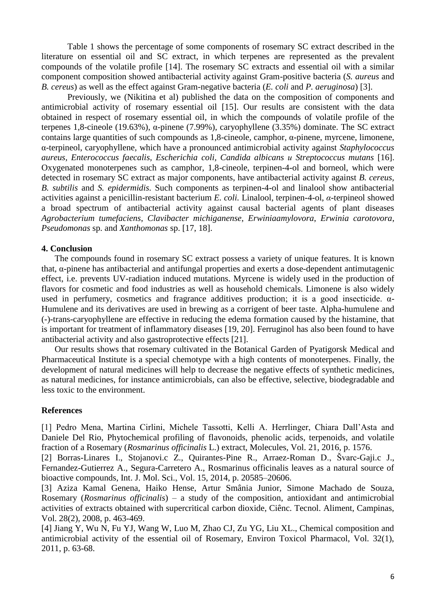Table 1 shows the percentage of some components of rosemary SC extract described in the literature on essential oil and SC extract, in which terpenes are represented as the prevalent compounds of the volatile profile [14]. The rosemary SC extracts and essential oil with a similar component composition showed antibacterial activity against Gram-positive bacteria (*S. aureus* and *B. cereus*) as well as the effect against Gram-negative bacteria (*E. coli* and *P. aeruginosa*) [3].

Previously, we (Nikitina et al) published the data on the composition of components and antimicrobial activity of rosemary essential oil [15]. Our results are consistent with the data obtained in respect of rosemary essential oil, in which the compounds of volatile profile of the terpenes 1,8-cineole (19.63%), α-pinene (7.99%), caryophyllene (3.35%) dominate. The SC extract contains large quantities of such compounds as 1,8-cineole, camphor, α-pinene, myrcene, limonene, α-terpineol, caryophyllene, which have a pronounced antimicrobial activity against *Staphylococcus aureus, Enterococcus faecalis, Escherichia coli, Candida albicans и Streptococcus mutans* [16]. Oxygenated monoterpenes such as camphor, 1,8-cineole, terpinen-4-ol and borneol, which were detected in rosemary SC extract as major components, have antibacterial activity against *B. cereus, B. subtilis* and *S. epidermidis.* Such components as terpinen-4-ol and linalool show antibacterial activities against a penicillin-resistant bacterium *E. coli.* Linalool, terpinen-4-ol, *α*-terpineol showed a broad spectrum of antibacterial activity against causal bacterial agents of plant diseases *Agrobacterium tumefaciens*, *Clavibacter michiganense*, *Erwiniaamylovora*, *Erwinia carotovora*, *Pseudomonas* sp. and *Xanthomonas* sp. [17, 18].

# **4. Conclusion**

The compounds found in rosemary SC extract possess a variety of unique features. It is known that, α-pinene has antibacterial and antifungal properties and exerts a dose-dependent antimutagenic effect, i.e. prevents UV-radiation induced mutations. Myrcene is widely used in the production of flavors for cosmetic and food industries as well as household chemicals. Limonene is also widely used in perfumery, cosmetics and fragrance additives production; it is a good insecticide.  $\alpha$ -Humulene and its derivatives are used in brewing as a corrigent of beer taste. Alpha-humulene and (-)-trans-caryophyllene are effective in reducing the edema formation caused by the histamine, that is important for treatment of inflammatory diseases [19, 20]. Ferruginol has also been found to have antibacterial activity and also gastroprotective effects [21].

Our results shows that rosemary cultivated in the Botanical Garden of Pyatigorsk Medical and Pharmaceutical Institute is a special chemotype with a high contents of monoterpenes. Finally, the development of natural medicines will help to decrease the negative effects of synthetic medicines, as natural medicines, for instance antimicrobials, can also be effective, selective, biodegradable and less toxic to the environment.

# **References**

[1] Pedro Mena, Martina Cirlini, Michele Tassotti, Kelli A. Herrlinger, Chiara Dall'Asta and Daniele Del Rio, Phytochemical profiling of flavonoids, phenolic acids, terpenoids, and volatile fraction of a Rosemary (*Rosmarinus officinalis* L.) extract, Molecules, Vol. 21, 2016, p. 1576.

[2] Borras-Linares I., Stojanovi.c Z., Quirantes-Pine R., Arraez-Roman D., Švarc-Gaji.c J., Fernandez-Gutierrez A., Segura-Carretero A., Rosmarinus officinalis leaves as a natural source of bioactive compounds, Int. J. Mol. Sci., Vol. 15, 2014, p. 20585–20606.

[3] Aziza Kamal Genena, Haiko Hense, Artur Smânia Junior, Simone Machado de Souza, Rosemary (*Rosmarinus officinalis*) – a study of the composition, antioxidant and antimicrobial activities of extracts obtained with supercritical carbon dioxide, Ciênc. Tecnol. Aliment, Campinas, Vol. 28(2), 2008, p. 463-469.

[4] Jiang Y, Wu N, Fu YJ, Wang W, Luo M, Zhao CJ, Zu YG, Liu XL., Chemical composition and antimicrobial activity of the essential oil of Rosemary, Environ Toxicol Pharmacol, Vol. 32(1), 2011, p. 63-68.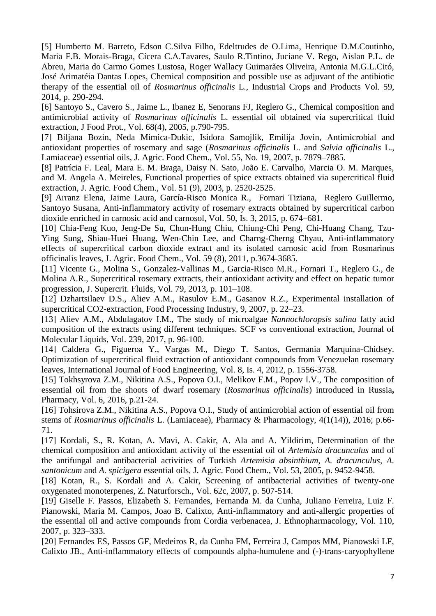[5] Humberto M. Barreto, Edson C.Silva Filho, Edeltrudes de O.Lima, Henrique D.M.Coutinho, Maria F.B. Morais-Braga, Cícera C.A.Tavares, Saulo R.Tintino, Juciane V. Rego, Aislan P.L. de Abreu, Maria do Carmo Gomes Lustosa, Roger Wallacy Guimarães Oliveira, Antonia M.G.L.Citó, José Arimatéia Dantas Lopes, Chemical composition and possible use as adjuvant of the antibiotic therapy of the essential oil of *Rosmarinus officinalis* L., Industrial Crops and Products Vol. 59, 2014, p. 290-294.

[6] Santoyo S., Cavero S., Jaime L., Ibanez E, Senorans FJ, Reglero G., Chemical composition and antimicrobial activity of *Rosmarinus officinalis* L. essential oil obtained via supercritical fluid extraction, J Food Prot., Vol. 68(4), 2005, p.790-795.

[7] Biljana Bozin, Neda Mimica-Dukic, Isidora Samojlik, Emilija Jovin, Antimicrobial and antioxidant properties of rosemary and sage (*Rosmarinus officinalis* L. and *Salvia officinalis* L., Lamiaceae) essential oils, J. Agric. Food Chem., Vol. 55, No. 19, 2007, p. 7879–7885.

[8] Patrícia F. Leal, Mara E. M. Braga, Daisy N. Sato, João E. Carvalho, Marcia O. M. Marques, and M. Angela A. Meireles, Functional properties of spice extracts obtained via supercritical fluid extraction, J. Agric. Food Chem., Vol. 51 (9), 2003, p. 2520-2525.

[9] Arranz Elena, Jaime Laura, García-Risco Monica R., Fornari Tiziana, Reglero Guillermo, Santoyo Susana, Anti-inflammatory activity of rosemary extracts obtained by supercritical carbon dioxide enriched in carnosic acid and carnosol, Vol. 50, Is. 3, 2015, p. 674–681.

[10] Chia-Feng Kuo, Jeng-De Su, Chun-Hung Chiu, Chiung-Chi Peng, Chi-Huang Chang, Tzu-Ying Sung, Shiau-Huei Huang, Wen-Chin Lee, and Charng-Cherng Chyau, Anti-inflammatory effects of supercritical carbon dioxide extract and its isolated carnosic acid from Rosmarinus officinalis leaves, J. Agric. Food Chem., Vol. 59 (8), 2011, p.3674-3685.

[11] Vicente G., Molina S., Gonzalez-Vallinas M., Garcia-Risco M.R., Fornari T., Reglero G., de Molina A.R., Supercritical rosemary extracts, their antioxidant activity and effect on hepatic tumor progression, J. Supercrit. Fluids, Vol. 79, 2013, p. 101–108.

[12] Dzhartsilaev D.S., Aliev A.M., Rasulov E.M., Gasanov R.Z., Experimental installation of supercritical CO2-extraction, Food Processing Industry, 9, 2007, p. 22–23.

[13] Aliev A.M., Abdulagatov I.M., The study of microalgae *Nannochloropsis salina* fatty acid composition of the extracts using different techniques. SCF vs conventional extraction, Journal of Molecular Liquids, Vol. 239, 2017, p. 96-100.

[14] Caldera G., Figueroa Y., Vargas M., Diego T. Santos, Germania Marquina-Chidsey. Optimization of supercritical fluid extraction of antioxidant compounds from Venezuelan rosemary leaves, International Journal of Food Engineering, Vol. 8, Is. 4, 2012, p. 1556-3758.

[15] Tokhsyrova Z.M., Nikitina A.S., Popova O.I., Melikov F.M., Popov I.V., The composition of essential oil from the shoots of dwarf rosemary (*Rosmarinus officinalis*) introduced in Russia**,** Pharmacy, Vol. 6, 2016, p.21-24.

[16] Tohsirova Z.M., Nikitina A.S., Popova O.I., Study of antimicrobial action of essential oil from stems of *Rosmarinus officinalis* L. (Lamiaceae), Pharmacy & Pharmacology, 4(1(14)), 2016; p.66- 71.

[17] Kordali, S., R. Kotan, A. Mavi, A. Cakir, A. Ala and A. Yildirim, Determination of the chemical composition and antioxidant activity of the essential oil of *Artemisia dracunculus* and of the antifungal and antibacterial activities of Turkish *Artemisia absinthium*, *A. dracunculus*, *A. santonicum* and *A. spicigera* essential oils, J. Agric. Food Chem., Vol. 53, 2005, p. 9452-9458.

[18] Kotan, R., S. Kordali and A. Cakir, Screening of antibacterial activities of twenty-one oxygenated monoterpenes, Z. Naturforsch., Vol. 62c, 2007, p. 507-514.

[19] Giselle F. Passos, Elizabeth S. Fernandes, Fernanda M. da Cunha, Juliano Ferreira, Luiz F. Pianowski, Maria M. Campos, Joao B. Calixto, Anti-inflammatory and anti-allergic properties of the essential oil and active compounds from Cordia verbenacea, J. Ethnopharmacology, Vol. 110, 2007, p. 323–333.

[20] Fernandes ES, Passos GF, Medeiros R, da Cunha FM, Ferreira J, Campos MM, Pianowski LF, Calixto JB., Anti-inflammatory effects of compounds alpha-humulene and (-)-trans-caryophyllene